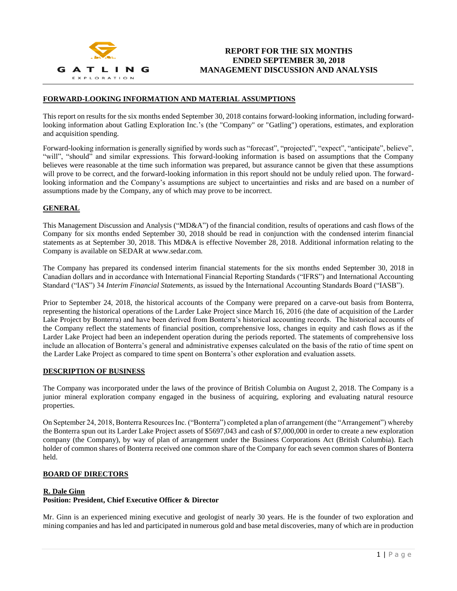

#### **FORWARD-LOOKING INFORMATION AND MATERIAL ASSUMPTIONS**

This report on results for the six months ended September 30, 2018 contains forward-looking information, including forwardlooking information about Gatling Exploration Inc.'s (the "Company" or "Gatling") operations, estimates, and exploration and acquisition spending.

Forward-looking information is generally signified by words such as "forecast", "projected", "expect", "anticipate", believe", "will", "should" and similar expressions. This forward-looking information is based on assumptions that the Company believes were reasonable at the time such information was prepared, but assurance cannot be given that these assumptions will prove to be correct, and the forward-looking information in this report should not be unduly relied upon. The forwardlooking information and the Company's assumptions are subject to uncertainties and risks and are based on a number of assumptions made by the Company, any of which may prove to be incorrect.

## **GENERAL**

This Management Discussion and Analysis ("MD&A") of the financial condition, results of operations and cash flows of the Company for six months ended September 30, 2018 should be read in conjunction with the condensed interim financial statements as at September 30, 2018. This MD&A is effective November 28, 2018. Additional information relating to the Company is available on SEDAR at www.sedar.com.

The Company has prepared its condensed interim financial statements for the six months ended September 30, 2018 in Canadian dollars and in accordance with International Financial Reporting Standards ("IFRS") and International Accounting Standard ("IAS") 34 *Interim Financial Statements*, as issued by the International Accounting Standards Board ("IASB").

Prior to September 24, 2018, the historical accounts of the Company were prepared on a carve-out basis from Bonterra, representing the historical operations of the Larder Lake Project since March 16, 2016 (the date of acquisition of the Larder Lake Project by Bonterra) and have been derived from Bonterra's historical accounting records. The historical accounts of the Company reflect the statements of financial position, comprehensive loss, changes in equity and cash flows as if the Larder Lake Project had been an independent operation during the periods reported. The statements of comprehensive loss include an allocation of Bonterra's general and administrative expenses calculated on the basis of the ratio of time spent on the Larder Lake Project as compared to time spent on Bonterra's other exploration and evaluation assets.

#### **DESCRIPTION OF BUSINESS**

The Company was incorporated under the laws of the province of British Columbia on August 2, 2018. The Company is a junior mineral exploration company engaged in the business of acquiring, exploring and evaluating natural resource properties.

On September 24, 2018, Bonterra Resources Inc. ("Bonterra") completed a plan of arrangement (the "Arrangement") whereby the Bonterra spun out its Larder Lake Project assets of \$5697,043 and cash of \$7,000,000 in order to create a new exploration company (the Company), by way of plan of arrangement under the Business Corporations Act (British Columbia). Each holder of common shares of Bonterra received one common share of the Company for each seven common shares of Bonterra held.

## **BOARD OF DIRECTORS**

#### **R. Dale Ginn**

### **Position: President, Chief Executive Officer & Director**

Mr. Ginn is an experienced mining executive and geologist of nearly 30 years. He is the founder of two exploration and mining companies and has led and participated in numerous gold and base metal discoveries, many of which are in production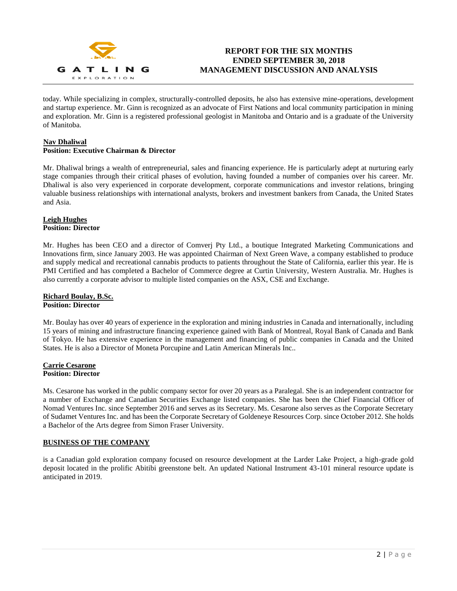

# **REPORT FOR THE SIX MONTHS ENDED SEPTEMBER 30, 2018 MANAGEMENT DISCUSSION AND ANALYSIS**

today. While specializing in complex, structurally-controlled deposits, he also has extensive mine-operations, development and startup experience. Mr. Ginn is recognized as an advocate of First Nations and local community participation in mining and exploration. Mr. Ginn is a registered professional geologist in Manitoba and Ontario and is a graduate of the University of Manitoba.

## **Nav Dhaliwal**

## **Position: Executive Chairman & Director**

Mr. Dhaliwal brings a wealth of entrepreneurial, sales and financing experience. He is particularly adept at nurturing early stage companies through their critical phases of evolution, having founded a number of companies over his career. Mr. Dhaliwal is also very experienced in corporate development, corporate communications and investor relations, bringing valuable business relationships with international analysts, brokers and investment bankers from Canada, the United States and Asia.

## **Leigh Hughes Position: Director**

Mr. Hughes has been CEO and a director of Comverj Pty Ltd., a boutique Integrated Marketing Communications and Innovations firm, since January 2003. He was appointed Chairman of Next Green Wave, a company established to produce and supply medical and recreational cannabis products to patients throughout the State of California, earlier this year. He is PMI Certified and has completed a Bachelor of Commerce degree at Curtin University, Western Australia. Mr. Hughes is also currently a corporate advisor to multiple listed companies on the ASX, CSE and Exchange.

## **Richard Boulay, B.Sc. Position: Director**

Mr. Boulay has over 40 years of experience in the exploration and mining industries in Canada and internationally, including 15 years of mining and infrastructure financing experience gained with Bank of Montreal, Royal Bank of Canada and Bank of Tokyo. He has extensive experience in the management and financing of public companies in Canada and the United States. He is also a Director of Moneta Porcupine and Latin American Minerals Inc..

## **Carrie Cesarone Position: Director**

Ms. Cesarone has worked in the public company sector for over 20 years as a Paralegal. She is an independent contractor for a number of Exchange and Canadian Securities Exchange listed companies. She has been the Chief Financial Officer of Nomad Ventures Inc. since September 2016 and serves as its Secretary. Ms. Cesarone also serves as the Corporate Secretary of Sudamet Ventures Inc. and has been the Corporate Secretary of Goldeneye Resources Corp. since October 2012. She holds a Bachelor of the Arts degree from Simon Fraser University.

## **BUSINESS OF THE COMPANY**

is a Canadian gold exploration company focused on resource development at the Larder Lake Project, a high-grade gold deposit located in the prolific Abitibi greenstone belt. An updated National Instrument 43-101 mineral resource update is anticipated in 2019.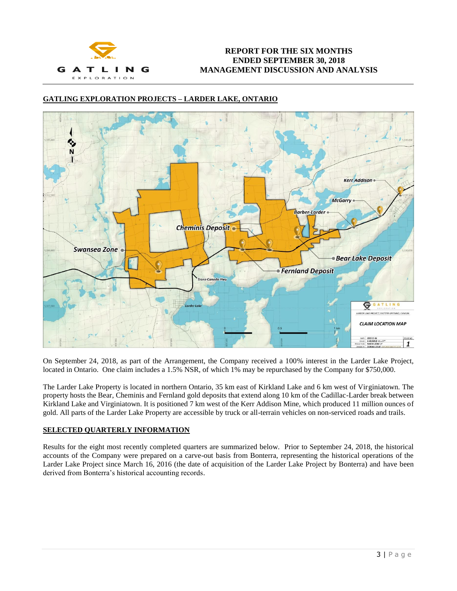

# **GATLING EXPLORATION PROJECTS – LARDER LAKE, ONTARIO**



On September 24, 2018, as part of the Arrangement, the Company received a 100% interest in the Larder Lake Project, located in Ontario. One claim includes a 1.5% NSR, of which 1% may be repurchased by the Company for \$750,000.

The Larder Lake Property is located in northern Ontario, 35 km east of Kirkland Lake and 6 km west of Virginiatown. The property hosts the Bear, Cheminis and Fernland gold deposits that extend along 10 km of the Cadillac-Larder break between Kirkland Lake and Virginiatown. It is positioned 7 km west of the Kerr Addison Mine, which produced 11 million ounces of gold. All parts of the Larder Lake Property are accessible by truck or all-terrain vehicles on non-serviced roads and trails.

## **SELECTED QUARTERLY INFORMATION**

Results for the eight most recently completed quarters are summarized below. Prior to September 24, 2018, the historical accounts of the Company were prepared on a carve-out basis from Bonterra, representing the historical operations of the Larder Lake Project since March 16, 2016 (the date of acquisition of the Larder Lake Project by Bonterra) and have been derived from Bonterra's historical accounting records.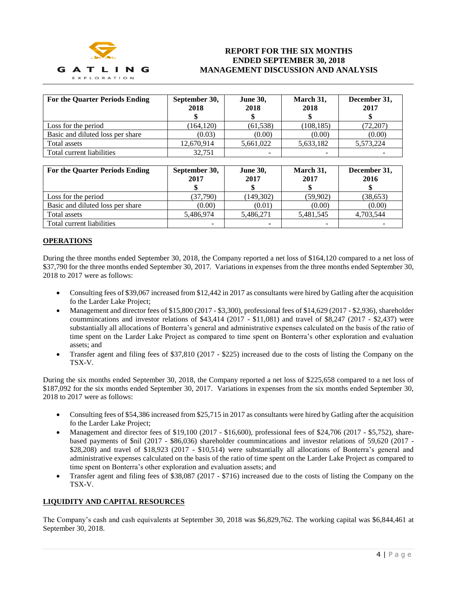

# **REPORT FOR THE SIX MONTHS ENDED SEPTEMBER 30, 2018 MANAGEMENT DISCUSSION AND ANALYSIS**

| <b>For the Quarter Periods Ending</b> | September 30,<br>2018 | <b>June 30,</b><br>2018 | March 31,<br>2018 | December 31,<br>2017 |
|---------------------------------------|-----------------------|-------------------------|-------------------|----------------------|
| Loss for the period                   | (164, 120)            | (61, 538)               | (108, 185)        | (72,207)             |
| Basic and diluted loss per share      | (0.03)                | (0.00)                  | (0.00)            | (0.00)               |
| Total assets                          | 12,670,914            | 5,661,022               | 5,633,182         | 5,573,224            |
| Total current liabilities             | 32.751                |                         |                   |                      |

| <b>For the Quarter Periods Ending</b> | September 30,<br>2017 | <b>June 30,</b><br>2017 | March 31,<br>2017 | December 31,<br>2016 |
|---------------------------------------|-----------------------|-------------------------|-------------------|----------------------|
| Loss for the period                   | (37,790)              | (149,302)               | (59,902)          | (38, 653)            |
| Basic and diluted loss per share      | (0.00)                | (0.01)                  | (0.00)            | (0.00)               |
| Total assets                          | 5,486,974             | 5,486,271               | 5,481,545         | 4,703,544            |
| Total current liabilities             | -                     | -                       |                   |                      |

## **OPERATIONS**

During the three months ended September 30, 2018, the Company reported a net loss of \$164,120 compared to a net loss of \$37,790 for the three months ended September 30, 2017. Variations in expenses from the three months ended September 30, 2018 to 2017 were as follows:

- Consulting fees of \$39,067 increased from \$12,442 in 2017 as consultants were hired by Gatling after the acquisition fo the Larder Lake Project;
- Management and director fees of  $$15,800 (2017 $3,300)$ , professional fees of  $$14,629 (2017 $2,936)$ , shareholder coummincations and investor relations of \$43,414 (2017 - \$11,081) and travel of \$8,247 (2017 - \$2,437) were substantially all allocations of Bonterra's general and administrative expenses calculated on the basis of the ratio of time spent on the Larder Lake Project as compared to time spent on Bonterra's other exploration and evaluation assets; and
- Transfer agent and filing fees of \$37,810 (2017 \$225) increased due to the costs of listing the Company on the TSX-V.

During the six months ended September 30, 2018, the Company reported a net loss of \$225,658 compared to a net loss of \$187,092 for the six months ended September 30, 2017. Variations in expenses from the six months ended September 30, 2018 to 2017 were as follows:

- Consulting fees of \$54,386 increased from \$25,715 in 2017 as consultants were hired by Gatling after the acquisition fo the Larder Lake Project;
- Management and director fees of \$19,100 (2017 \$16,600), professional fees of \$24,706 (2017 \$5,752), sharebased payments of \$nil (2017 - \$86,036) shareholder coummincations and investor relations of 59,620 (2017 - \$28,208) and travel of \$18,923 (2017 - \$10,514) were substantially all allocations of Bonterra's general and administrative expenses calculated on the basis of the ratio of time spent on the Larder Lake Project as compared to time spent on Bonterra's other exploration and evaluation assets; and
- Transfer agent and filing fees of \$38,087 (2017 \$716) increased due to the costs of listing the Company on the TSX-V.

## **LIQUIDITY AND CAPITAL RESOURCES**

The Company's cash and cash equivalents at September 30, 2018 was \$6,829,762. The working capital was \$6,844,461 at September 30, 2018.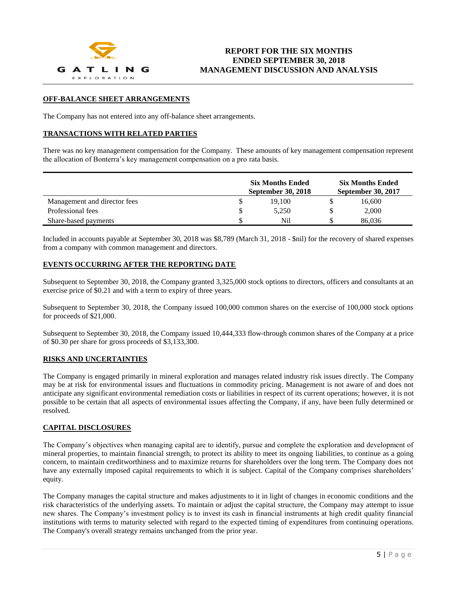

## **OFF-BALANCE SHEET ARRANGEMENTS**

The Company has not entered into any off-balance sheet arrangements.

## **TRANSACTIONS WITH RELATED PARTIES**

There was no key management compensation for the Company. These amounts of key management compensation represent the allocation of Bonterra's key management compensation on a pro rata basis.

|                              | <b>Six Months Ended</b><br><b>September 30, 2018</b> |        | <b>Six Months Ended</b><br><b>September 30, 2017</b> |        |  |
|------------------------------|------------------------------------------------------|--------|------------------------------------------------------|--------|--|
| Management and director fees |                                                      | 19.100 |                                                      | 16,600 |  |
| Professional fees            |                                                      | 5.250  |                                                      | 2.000  |  |
| Share-based payments         |                                                      | Nil    |                                                      | 86,036 |  |

Included in accounts payable at September 30, 2018 was \$8,789 (March 31, 2018 - \$nil) for the recovery of shared expenses from a company with common management and directors.

## **EVENTS OCCURRING AFTER THE REPORTING DATE**

Subsequent to September 30, 2018, the Company granted 3,325,000 stock options to directors, officers and consultants at an exercise price of \$0.21 and with a term to expiry of three years.

Subsequent to September 30, 2018, the Company issued 100,000 common shares on the exercise of 100,000 stock options for proceeds of \$21,000.

Subsequent to September 30, 2018, the Company issued 10,444,333 flow-through common shares of the Company at a price of \$0.30 per share for gross proceeds of \$3,133,300.

#### **RISKS AND UNCERTAINTIES**

The Company is engaged primarily in mineral exploration and manages related industry risk issues directly. The Company may be at risk for environmental issues and fluctuations in commodity pricing. Management is not aware of and does not anticipate any significant environmental remediation costs or liabilities in respect of its current operations; however, it is not possible to be certain that all aspects of environmental issues affecting the Company, if any, have been fully determined or resolved.

## **CAPITAL DISCLOSURES**

The Company's objectives when managing capital are to identify, pursue and complete the exploration and development of mineral properties, to maintain financial strength, to protect its ability to meet its ongoing liabilities, to continue as a going concern, to maintain creditworthiness and to maximize returns for shareholders over the long term. The Company does not have any externally imposed capital requirements to which it is subject. Capital of the Company comprises shareholders' equity.

The Company manages the capital structure and makes adjustments to it in light of changes in economic conditions and the risk characteristics of the underlying assets. To maintain or adjust the capital structure, the Company may attempt to issue new shares. The Company's investment policy is to invest its cash in financial instruments at high credit quality financial institutions with terms to maturity selected with regard to the expected timing of expenditures from continuing operations. The Company's overall strategy remains unchanged from the prior year.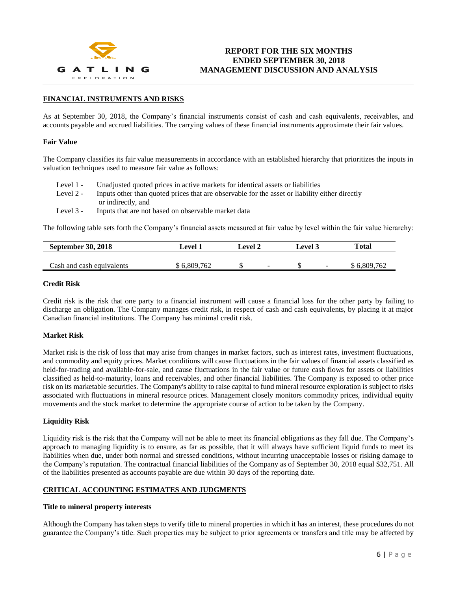

## **FINANCIAL INSTRUMENTS AND RISKS**

As at September 30, 2018, the Company's financial instruments consist of cash and cash equivalents, receivables, and accounts payable and accrued liabilities. The carrying values of these financial instruments approximate their fair values.

#### **Fair Value**

The Company classifies its fair value measurements in accordance with an established hierarchy that prioritizes the inputs in valuation techniques used to measure fair value as follows:

| Level 1 -   | Unadjusted quoted prices in active markets for identical assets or liabilities                 |
|-------------|------------------------------------------------------------------------------------------------|
| Level 2 -   | Inputs other than quoted prices that are observable for the asset or liability either directly |
|             | or indirectly, and                                                                             |
| Level $3 -$ | Inputs that are not based on observable market data                                            |

The following table sets forth the Company's financial assets measured at fair value by level within the fair value hierarchy:

| <b>September 30, 2018</b> | Level 1   | evel 2 |                          | Level 3 |        | Total     |
|---------------------------|-----------|--------|--------------------------|---------|--------|-----------|
|                           |           |        |                          |         |        |           |
| Cash and cash equivalents | 6,809,762 |        | $\overline{\phantom{a}}$ |         | $\sim$ | 6,809,762 |

#### **Credit Risk**

Credit risk is the risk that one party to a financial instrument will cause a financial loss for the other party by failing to discharge an obligation. The Company manages credit risk, in respect of cash and cash equivalents, by placing it at major Canadian financial institutions. The Company has minimal credit risk.

#### **Market Risk**

Market risk is the risk of loss that may arise from changes in market factors, such as interest rates, investment fluctuations, and commodity and equity prices. Market conditions will cause fluctuations in the fair values of financial assets classified as held-for-trading and available-for-sale, and cause fluctuations in the fair value or future cash flows for assets or liabilities classified as held-to-maturity, loans and receivables, and other financial liabilities. The Company is exposed to other price risk on its marketable securities. The Company's ability to raise capital to fund mineral resource exploration is subject to risks associated with fluctuations in mineral resource prices. Management closely monitors commodity prices, individual equity movements and the stock market to determine the appropriate course of action to be taken by the Company.

#### **Liquidity Risk**

Liquidity risk is the risk that the Company will not be able to meet its financial obligations as they fall due. The Company's approach to managing liquidity is to ensure, as far as possible, that it will always have sufficient liquid funds to meet its liabilities when due, under both normal and stressed conditions, without incurring unacceptable losses or risking damage to the Company's reputation. The contractual financial liabilities of the Company as of September 30, 2018 equal \$32,751. All of the liabilities presented as accounts payable are due within 30 days of the reporting date.

#### **CRITICAL ACCOUNTING ESTIMATES AND JUDGMENTS**

#### **Title to mineral property interests**

Although the Company has taken steps to verify title to mineral properties in which it has an interest, these procedures do not guarantee the Company's title. Such properties may be subject to prior agreements or transfers and title may be affected by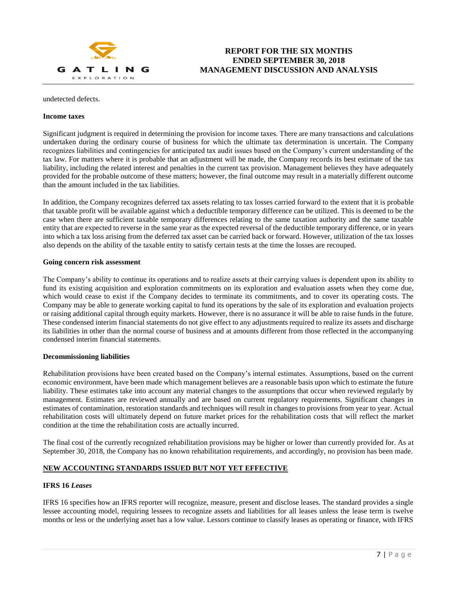

# **REPORT FOR THE SIX MONTHS ENDED SEPTEMBER 30, 2018 MANAGEMENT DISCUSSION AND ANALYSIS**

#### undetected defects.

#### **Income taxes**

Significant judgment is required in determining the provision for income taxes. There are many transactions and calculations undertaken during the ordinary course of business for which the ultimate tax determination is uncertain. The Company recognizes liabilities and contingencies for anticipated tax audit issues based on the Company's current understanding of the tax law. For matters where it is probable that an adjustment will be made, the Company records its best estimate of the tax liability, including the related interest and penalties in the current tax provision. Management believes they have adequately provided for the probable outcome of these matters; however, the final outcome may result in a materially different outcome than the amount included in the tax liabilities.

In addition, the Company recognizes deferred tax assets relating to tax losses carried forward to the extent that it is probable that taxable profit will be available against which a deductible temporary difference can be utilized. This is deemed to be the case when there are sufficient taxable temporary differences relating to the same taxation authority and the same taxable entity that are expected to reverse in the same year as the expected reversal of the deductible temporary difference, or in years into which a tax loss arising from the deferred tax asset can be carried back or forward. However, utilization of the tax losses also depends on the ability of the taxable entity to satisfy certain tests at the time the losses are recouped.

## **Going concern risk assessment**

The Company's ability to continue its operations and to realize assets at their carrying values is dependent upon its ability to fund its existing acquisition and exploration commitments on its exploration and evaluation assets when they come due, which would cease to exist if the Company decides to terminate its commitments, and to cover its operating costs. The Company may be able to generate working capital to fund its operations by the sale of its exploration and evaluation projects or raising additional capital through equity markets. However, there is no assurance it will be able to raise funds in the future. These condensed interim financial statements do not give effect to any adjustments required to realize its assets and discharge its liabilities in other than the normal course of business and at amounts different from those reflected in the accompanying condensed interim financial statements.

#### **Decommissioning liabilities**

Rehabilitation provisions have been created based on the Company's internal estimates. Assumptions, based on the current economic environment, have been made which management believes are a reasonable basis upon which to estimate the future liability. These estimates take into account any material changes to the assumptions that occur when reviewed regularly by management. Estimates are reviewed annually and are based on current regulatory requirements. Significant changes in estimates of contamination, restoration standards and techniques will result in changes to provisions from year to year. Actual rehabilitation costs will ultimately depend on future market prices for the rehabilitation costs that will reflect the market condition at the time the rehabilitation costs are actually incurred.

The final cost of the currently recognized rehabilitation provisions may be higher or lower than currently provided for. As at September 30, 2018, the Company has no known rehabilitation requirements, and accordingly, no provision has been made.

# **NEW ACCOUNTING STANDARDS ISSUED BUT NOT YET EFFECTIVE**

## **IFRS 16** *Leases*

IFRS 16 specifies how an IFRS reporter will recognize, measure, present and disclose leases. The standard provides a single lessee accounting model, requiring lessees to recognize assets and liabilities for all leases unless the lease term is twelve months or less or the underlying asset has a low value. Lessors continue to classify leases as operating or finance, with IFRS